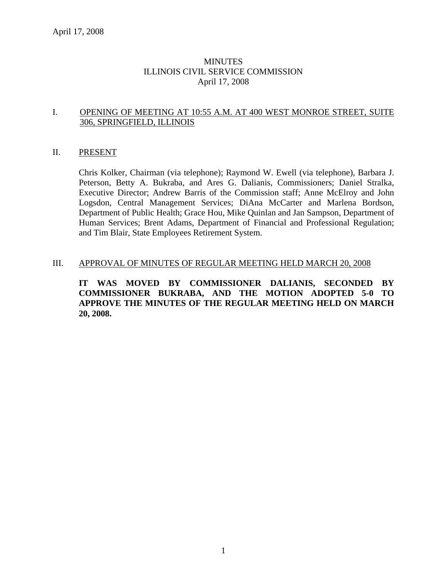# **MINUTES** ILLINOIS CIVIL SERVICE COMMISSION April 17, 2008

#### I. OPENING OF MEETING AT 10:55 A.M. AT 400 WEST MONROE STREET, SUITE 306, SPRINGFIELD, ILLINOIS

#### II. PRESENT

Chris Kolker, Chairman (via telephone); Raymond W. Ewell (via telephone), Barbara J. Peterson, Betty A. Bukraba, and Ares G. Dalianis, Commissioners; Daniel Stralka, Executive Director; Andrew Barris of the Commission staff; Anne McElroy and John Logsdon, Central Management Services; DiAna McCarter and Marlena Bordson, Department of Public Health; Grace Hou, Mike Quinlan and Jan Sampson, Department of Human Services; Brent Adams, Department of Financial and Professional Regulation; and Tim Blair, State Employees Retirement System.

#### III. APPROVAL OF MINUTES OF REGULAR MEETING HELD MARCH 20, 2008

**IT WAS MOVED BY COMMISSIONER DALIANIS, SECONDED BY COMMISSIONER BUKRABA, AND THE MOTION ADOPTED 5-0 TO APPROVE THE MINUTES OF THE REGULAR MEETING HELD ON MARCH 20, 2008.**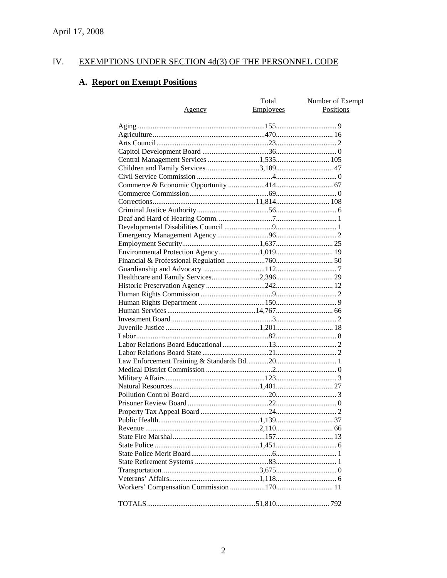#### IV. **EXEMPTIONS UNDER SECTION 4d(3) OF THE PERSONNEL CODE**

# A. Report on Exempt Positions

| <u>Agency</u>                        | Total<br><b>Employees</b> | Number of Exempt<br><b>Positions</b> |
|--------------------------------------|---------------------------|--------------------------------------|
|                                      |                           |                                      |
|                                      |                           |                                      |
|                                      |                           |                                      |
|                                      |                           |                                      |
|                                      |                           |                                      |
| Children and Family Services3,189 47 |                           |                                      |
|                                      |                           |                                      |
|                                      |                           |                                      |
|                                      |                           |                                      |
|                                      |                           |                                      |
|                                      |                           |                                      |
|                                      |                           |                                      |
|                                      |                           |                                      |
|                                      |                           |                                      |
|                                      |                           |                                      |
|                                      |                           |                                      |
|                                      |                           |                                      |
|                                      |                           |                                      |
|                                      |                           |                                      |
|                                      |                           |                                      |
|                                      |                           |                                      |
|                                      |                           |                                      |
|                                      |                           |                                      |
|                                      |                           |                                      |
|                                      |                           |                                      |
|                                      |                           |                                      |
|                                      |                           |                                      |
|                                      |                           |                                      |
|                                      |                           |                                      |
|                                      |                           |                                      |
|                                      |                           |                                      |
|                                      |                           |                                      |
|                                      |                           |                                      |
|                                      |                           |                                      |
|                                      |                           |                                      |
|                                      |                           |                                      |
|                                      |                           |                                      |
|                                      |                           |                                      |
|                                      |                           |                                      |
|                                      |                           |                                      |
|                                      |                           |                                      |
|                                      |                           |                                      |
|                                      |                           |                                      |
|                                      |                           |                                      |
|                                      |                           |                                      |
|                                      |                           |                                      |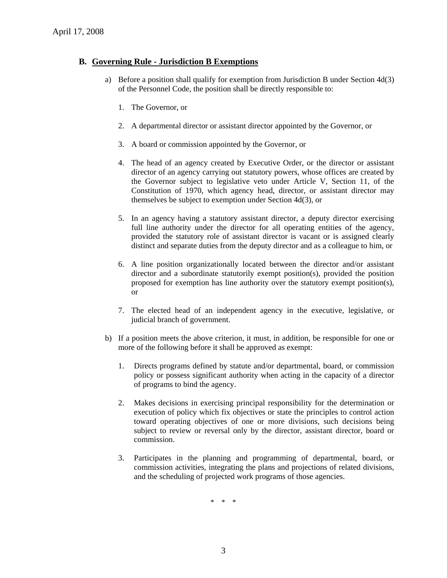#### **B. Governing Rule - Jurisdiction B Exemptions**

- a) Before a position shall qualify for exemption from Jurisdiction B under Section 4d(3) of the Personnel Code, the position shall be directly responsible to:
	- 1. The Governor, or
	- 2. A departmental director or assistant director appointed by the Governor, or
	- 3. A board or commission appointed by the Governor, or
	- 4. The head of an agency created by Executive Order, or the director or assistant director of an agency carrying out statutory powers, whose offices are created by the Governor subject to legislative veto under Article V, Section 11, of the Constitution of 1970, which agency head, director, or assistant director may themselves be subject to exemption under Section 4d(3), or
	- 5. In an agency having a statutory assistant director, a deputy director exercising full line authority under the director for all operating entities of the agency, provided the statutory role of assistant director is vacant or is assigned clearly distinct and separate duties from the deputy director and as a colleague to him, or
	- 6. A line position organizationally located between the director and/or assistant director and a subordinate statutorily exempt position(s), provided the position proposed for exemption has line authority over the statutory exempt position(s), or
	- 7. The elected head of an independent agency in the executive, legislative, or judicial branch of government.
- b) If a position meets the above criterion, it must, in addition, be responsible for one or more of the following before it shall be approved as exempt:
	- 1. Directs programs defined by statute and/or departmental, board, or commission policy or possess significant authority when acting in the capacity of a director of programs to bind the agency.
	- 2. Makes decisions in exercising principal responsibility for the determination or execution of policy which fix objectives or state the principles to control action toward operating objectives of one or more divisions, such decisions being subject to review or reversal only by the director, assistant director, board or commission.
	- 3. Participates in the planning and programming of departmental, board, or commission activities, integrating the plans and projections of related divisions, and the scheduling of projected work programs of those agencies.

\* \* \*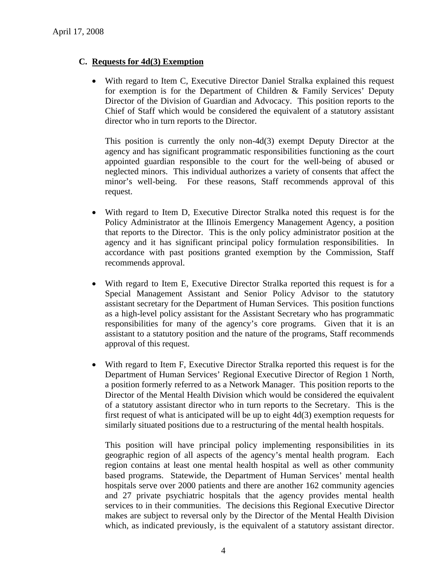# **C. Requests for 4d(3) Exemption**

• With regard to Item C, Executive Director Daniel Stralka explained this request for exemption is for the Department of Children & Family Services' Deputy Director of the Division of Guardian and Advocacy. This position reports to the Chief of Staff which would be considered the equivalent of a statutory assistant director who in turn reports to the Director.

This position is currently the only non-4d(3) exempt Deputy Director at the agency and has significant programmatic responsibilities functioning as the court appointed guardian responsible to the court for the well-being of abused or neglected minors. This individual authorizes a variety of consents that affect the minor's well-being. For these reasons, Staff recommends approval of this request.

- With regard to Item D, Executive Director Stralka noted this request is for the Policy Administrator at the Illinois Emergency Management Agency, a position that reports to the Director. This is the only policy administrator position at the agency and it has significant principal policy formulation responsibilities. In accordance with past positions granted exemption by the Commission, Staff recommends approval.
- With regard to Item E, Executive Director Stralka reported this request is for a Special Management Assistant and Senior Policy Advisor to the statutory assistant secretary for the Department of Human Services. This position functions as a high-level policy assistant for the Assistant Secretary who has programmatic responsibilities for many of the agency's core programs. Given that it is an assistant to a statutory position and the nature of the programs, Staff recommends approval of this request.
- With regard to Item F, Executive Director Stralka reported this request is for the Department of Human Services' Regional Executive Director of Region 1 North, a position formerly referred to as a Network Manager. This position reports to the Director of the Mental Health Division which would be considered the equivalent of a statutory assistant director who in turn reports to the Secretary. This is the first request of what is anticipated will be up to eight 4d(3) exemption requests for similarly situated positions due to a restructuring of the mental health hospitals.

This position will have principal policy implementing responsibilities in its geographic region of all aspects of the agency's mental health program. Each region contains at least one mental health hospital as well as other community based programs. Statewide, the Department of Human Services' mental health hospitals serve over 2000 patients and there are another 162 community agencies and 27 private psychiatric hospitals that the agency provides mental health services to in their communities. The decisions this Regional Executive Director makes are subject to reversal only by the Director of the Mental Health Division which, as indicated previously, is the equivalent of a statutory assistant director.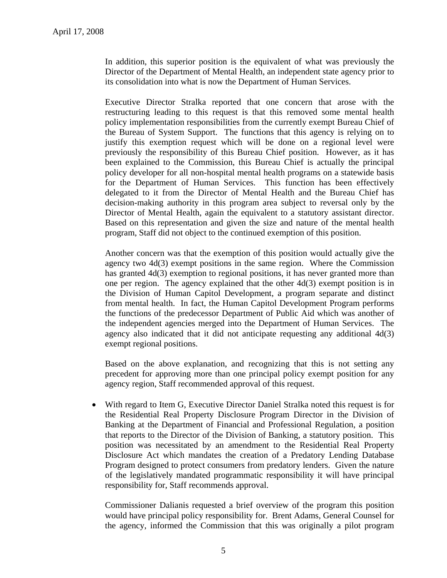In addition, this superior position is the equivalent of what was previously the Director of the Department of Mental Health, an independent state agency prior to its consolidation into what is now the Department of Human Services.

Executive Director Stralka reported that one concern that arose with the restructuring leading to this request is that this removed some mental health policy implementation responsibilities from the currently exempt Bureau Chief of the Bureau of System Support. The functions that this agency is relying on to justify this exemption request which will be done on a regional level were previously the responsibility of this Bureau Chief position. However, as it has been explained to the Commission, this Bureau Chief is actually the principal policy developer for all non-hospital mental health programs on a statewide basis for the Department of Human Services. This function has been effectively delegated to it from the Director of Mental Health and the Bureau Chief has decision-making authority in this program area subject to reversal only by the Director of Mental Health, again the equivalent to a statutory assistant director. Based on this representation and given the size and nature of the mental health program, Staff did not object to the continued exemption of this position.

Another concern was that the exemption of this position would actually give the agency two 4d(3) exempt positions in the same region. Where the Commission has granted 4d(3) exemption to regional positions, it has never granted more than one per region. The agency explained that the other 4d(3) exempt position is in the Division of Human Capitol Development, a program separate and distinct from mental health. In fact, the Human Capitol Development Program performs the functions of the predecessor Department of Public Aid which was another of the independent agencies merged into the Department of Human Services. The agency also indicated that it did not anticipate requesting any additional 4d(3) exempt regional positions.

Based on the above explanation, and recognizing that this is not setting any precedent for approving more than one principal policy exempt position for any agency region, Staff recommended approval of this request.

• With regard to Item G, Executive Director Daniel Stralka noted this request is for the Residential Real Property Disclosure Program Director in the Division of Banking at the Department of Financial and Professional Regulation, a position that reports to the Director of the Division of Banking, a statutory position. This position was necessitated by an amendment to the Residential Real Property Disclosure Act which mandates the creation of a Predatory Lending Database Program designed to protect consumers from predatory lenders. Given the nature of the legislatively mandated programmatic responsibility it will have principal responsibility for, Staff recommends approval.

Commissioner Dalianis requested a brief overview of the program this position would have principal policy responsibility for. Brent Adams, General Counsel for the agency, informed the Commission that this was originally a pilot program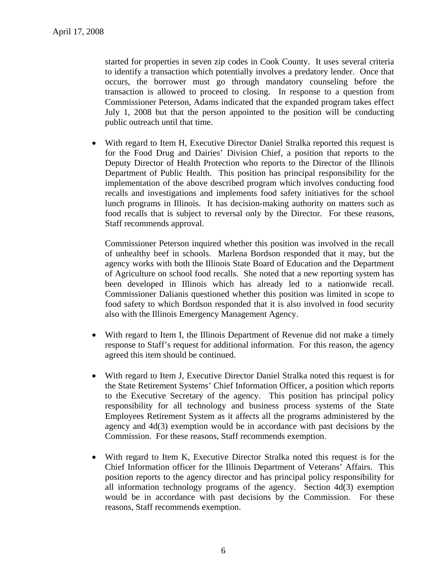started for properties in seven zip codes in Cook County. It uses several criteria to identify a transaction which potentially involves a predatory lender. Once that occurs, the borrower must go through mandatory counseling before the transaction is allowed to proceed to closing. In response to a question from Commissioner Peterson, Adams indicated that the expanded program takes effect July 1, 2008 but that the person appointed to the position will be conducting public outreach until that time.

• With regard to Item H, Executive Director Daniel Stralka reported this request is for the Food Drug and Dairies' Division Chief, a position that reports to the Deputy Director of Health Protection who reports to the Director of the Illinois Department of Public Health. This position has principal responsibility for the implementation of the above described program which involves conducting food recalls and investigations and implements food safety initiatives for the school lunch programs in Illinois. It has decision-making authority on matters such as food recalls that is subject to reversal only by the Director. For these reasons, Staff recommends approval.

Commissioner Peterson inquired whether this position was involved in the recall of unhealthy beef in schools. Marlena Bordson responded that it may, but the agency works with both the Illinois State Board of Education and the Department of Agriculture on school food recalls. She noted that a new reporting system has been developed in Illinois which has already led to a nationwide recall. Commissioner Dalianis questioned whether this position was limited in scope to food safety to which Bordson responded that it is also involved in food security also with the Illinois Emergency Management Agency.

- With regard to Item I, the Illinois Department of Revenue did not make a timely response to Staff's request for additional information. For this reason, the agency agreed this item should be continued.
- With regard to Item J, Executive Director Daniel Stralka noted this request is for the State Retirement Systems' Chief Information Officer, a position which reports to the Executive Secretary of the agency. This position has principal policy responsibility for all technology and business process systems of the State Employees Retirement System as it affects all the programs administered by the agency and 4d(3) exemption would be in accordance with past decisions by the Commission. For these reasons, Staff recommends exemption.
- With regard to Item K, Executive Director Stralka noted this request is for the Chief Information officer for the Illinois Department of Veterans' Affairs. This position reports to the agency director and has principal policy responsibility for all information technology programs of the agency. Section 4d(3) exemption would be in accordance with past decisions by the Commission. For these reasons, Staff recommends exemption.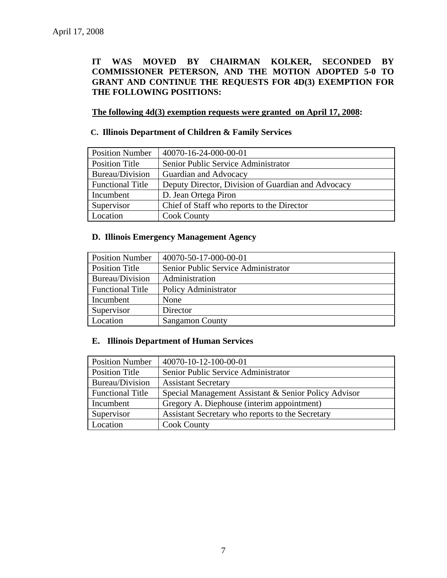# **IT WAS MOVED BY CHAIRMAN KOLKER, SECONDED BY COMMISSIONER PETERSON, AND THE MOTION ADOPTED 5-0 TO GRANT AND CONTINUE THE REQUESTS FOR 4D(3) EXEMPTION FOR THE FOLLOWING POSITIONS:**

#### **The following 4d(3) exemption requests were granted on April 17, 2008:**

# **C. Illinois Department of Children & Family Services**

| <b>Position Number</b>  | 40070-16-24-000-00-01                              |
|-------------------------|----------------------------------------------------|
| Position Title          | Senior Public Service Administrator                |
| Bureau/Division         | Guardian and Advocacy                              |
| <b>Functional Title</b> | Deputy Director, Division of Guardian and Advocacy |
| Incumbent               | D. Jean Ortega Piron                               |
| Supervisor              | Chief of Staff who reports to the Director         |
| Location                | <b>Cook County</b>                                 |

#### **D. Illinois Emergency Management Agency**

| <b>Position Number</b>  | 40070-50-17-000-00-01               |
|-------------------------|-------------------------------------|
| Position Title          | Senior Public Service Administrator |
| Bureau/Division         | Administration                      |
| <b>Functional Title</b> | Policy Administrator                |
| Incumbent               | None                                |
| Supervisor              | Director                            |
| Location                | <b>Sangamon County</b>              |

#### **E. Illinois Department of Human Services**

| <b>Position Number</b>  | 40070-10-12-100-00-01                                |
|-------------------------|------------------------------------------------------|
| Position Title          | Senior Public Service Administrator                  |
| Bureau/Division         | <b>Assistant Secretary</b>                           |
| <b>Functional Title</b> | Special Management Assistant & Senior Policy Advisor |
| Incumbent               | Gregory A. Diephouse (interim appointment)           |
| Supervisor              | Assistant Secretary who reports to the Secretary     |
| Location                | <b>Cook County</b>                                   |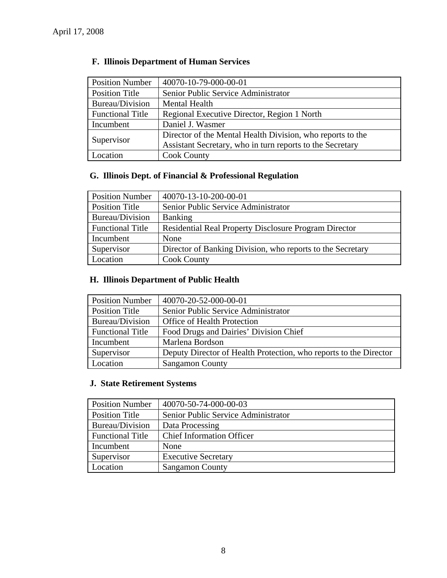| <b>Position Number</b>  | 40070-10-79-000-00-01                                      |  |
|-------------------------|------------------------------------------------------------|--|
| <b>Position Title</b>   | Senior Public Service Administrator                        |  |
| Bureau/Division         | <b>Mental Health</b>                                       |  |
| <b>Functional Title</b> | Regional Executive Director, Region 1 North                |  |
| Incumbent               | Daniel J. Wasmer                                           |  |
|                         | Director of the Mental Health Division, who reports to the |  |
| Supervisor              | Assistant Secretary, who in turn reports to the Secretary  |  |
| Location                | <b>Cook County</b>                                         |  |

# **F. Illinois Department of Human Services**

# **G. Illinois Dept. of Financial & Professional Regulation**

| <b>Position Number</b>  | 40070-13-10-200-00-01                                      |  |
|-------------------------|------------------------------------------------------------|--|
| Position Title          | Senior Public Service Administrator                        |  |
| Bureau/Division         | <b>Banking</b>                                             |  |
| <b>Functional Title</b> | Residential Real Property Disclosure Program Director      |  |
| Incumbent               | None                                                       |  |
| Supervisor              | Director of Banking Division, who reports to the Secretary |  |
| Location                | <b>Cook County</b>                                         |  |

# **H. Illinois Department of Public Health**

| <b>Position Number</b>  | 40070-20-52-000-00-01                                             |
|-------------------------|-------------------------------------------------------------------|
| Position Title          | Senior Public Service Administrator                               |
| Bureau/Division         | Office of Health Protection                                       |
| <b>Functional Title</b> | Food Drugs and Dairies' Division Chief                            |
| Incumbent               | Marlena Bordson                                                   |
| Supervisor              | Deputy Director of Health Protection, who reports to the Director |
| Location                | <b>Sangamon County</b>                                            |

# **J. State Retirement Systems**

| <b>Position Number</b>  | 40070-50-74-000-00-03               |  |
|-------------------------|-------------------------------------|--|
| Position Title          | Senior Public Service Administrator |  |
| Bureau/Division         | Data Processing                     |  |
| <b>Functional Title</b> | <b>Chief Information Officer</b>    |  |
| Incumbent               | None                                |  |
| Supervisor              | <b>Executive Secretary</b>          |  |
| Location                | <b>Sangamon County</b>              |  |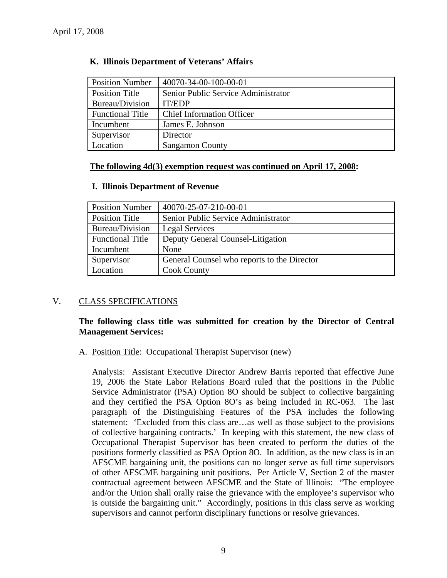| <b>Position Number</b>  | 40070-34-00-100-00-01               |
|-------------------------|-------------------------------------|
| <b>Position Title</b>   | Senior Public Service Administrator |
| Bureau/Division         | <b>IT/EDP</b>                       |
| <b>Functional Title</b> | <b>Chief Information Officer</b>    |
| Incumbent               | James E. Johnson                    |
| Supervisor              | Director                            |
| Location                | <b>Sangamon County</b>              |

# **K. Illinois Department of Veterans' Affairs**

#### **The following 4d(3) exemption request was continued on April 17, 2008:**

# Position Number 40070-25-07-210-00-01 Position Title Senior Public Service Administrator Bureau/Division Legal Services Functional Title | Deputy General Counsel-Litigation Incumbent None Supervisor General Counsel who reports to the Director Location Cook County

# **I. Illinois Department of Revenue**

# V. CLASS SPECIFICATIONS

# **The following class title was submitted for creation by the Director of Central Management Services:**

A. Position Title: Occupational Therapist Supervisor (new)

Analysis: Assistant Executive Director Andrew Barris reported that effective June 19, 2006 the State Labor Relations Board ruled that the positions in the Public Service Administrator (PSA) Option 8O should be subject to collective bargaining and they certified the PSA Option 8O's as being included in RC-063. The last paragraph of the Distinguishing Features of the PSA includes the following statement: 'Excluded from this class are…as well as those subject to the provisions of collective bargaining contracts.' In keeping with this statement, the new class of Occupational Therapist Supervisor has been created to perform the duties of the positions formerly classified as PSA Option 8O. In addition, as the new class is in an AFSCME bargaining unit, the positions can no longer serve as full time supervisors of other AFSCME bargaining unit positions. Per Article V, Section 2 of the master contractual agreement between AFSCME and the State of Illinois: "The employee and/or the Union shall orally raise the grievance with the employee's supervisor who is outside the bargaining unit." Accordingly, positions in this class serve as working supervisors and cannot perform disciplinary functions or resolve grievances.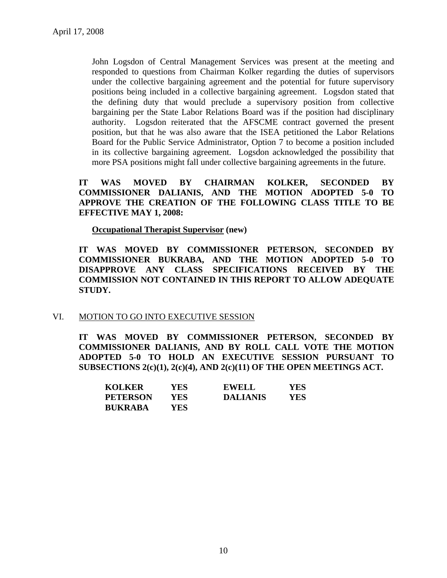John Logsdon of Central Management Services was present at the meeting and responded to questions from Chairman Kolker regarding the duties of supervisors under the collective bargaining agreement and the potential for future supervisory positions being included in a collective bargaining agreement. Logsdon stated that the defining duty that would preclude a supervisory position from collective bargaining per the State Labor Relations Board was if the position had disciplinary authority. Logsdon reiterated that the AFSCME contract governed the present position, but that he was also aware that the ISEA petitioned the Labor Relations Board for the Public Service Administrator, Option 7 to become a position included in its collective bargaining agreement. Logsdon acknowledged the possibility that more PSA positions might fall under collective bargaining agreements in the future.

**IT WAS MOVED BY CHAIRMAN KOLKER, SECONDED BY COMMISSIONER DALIANIS, AND THE MOTION ADOPTED 5-0 TO APPROVE THE CREATION OF THE FOLLOWING CLASS TITLE TO BE EFFECTIVE MAY 1, 2008:** 

**Occupational Therapist Supervisor (new)** 

**IT WAS MOVED BY COMMISSIONER PETERSON, SECONDED BY COMMISSIONER BUKRABA, AND THE MOTION ADOPTED 5-0 TO DISAPPROVE ANY CLASS SPECIFICATIONS RECEIVED BY THE COMMISSION NOT CONTAINED IN THIS REPORT TO ALLOW ADEQUATE STUDY.** 

#### VI. MOTION TO GO INTO EXECUTIVE SESSION

**IT WAS MOVED BY COMMISSIONER PETERSON, SECONDED BY COMMISSIONER DALIANIS, AND BY ROLL CALL VOTE THE MOTION ADOPTED 5-0 TO HOLD AN EXECUTIVE SESSION PURSUANT TO SUBSECTIONS 2(c)(1), 2(c)(4), AND 2(c)(11) OF THE OPEN MEETINGS ACT.** 

| <b>KOLKER</b>   | YES  | EWELL           | YES |
|-----------------|------|-----------------|-----|
| <b>PETERSON</b> | YES. | <b>DALIANIS</b> | YES |
| <b>BUKRABA</b>  | YES. |                 |     |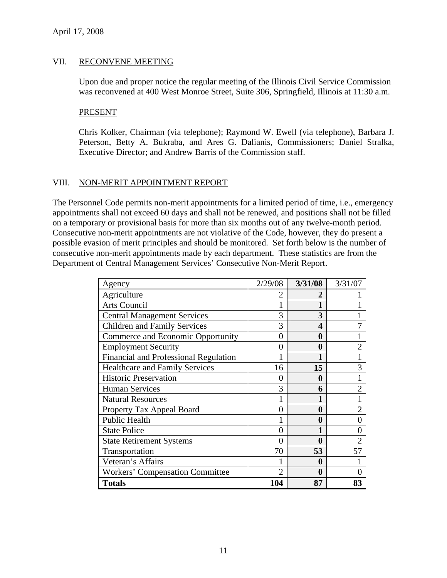#### VII. RECONVENE MEETING

Upon due and proper notice the regular meeting of the Illinois Civil Service Commission was reconvened at 400 West Monroe Street, Suite 306, Springfield, Illinois at 11:30 a.m.

#### PRESENT

Chris Kolker, Chairman (via telephone); Raymond W. Ewell (via telephone), Barbara J. Peterson, Betty A. Bukraba, and Ares G. Dalianis, Commissioners; Daniel Stralka, Executive Director; and Andrew Barris of the Commission staff.

# VIII. NON-MERIT APPOINTMENT REPORT

The Personnel Code permits non-merit appointments for a limited period of time, i.e., emergency appointments shall not exceed 60 days and shall not be renewed, and positions shall not be filled on a temporary or provisional basis for more than six months out of any twelve-month period. Consecutive non-merit appointments are not violative of the Code, however, they do present a possible evasion of merit principles and should be monitored. Set forth below is the number of consecutive non-merit appointments made by each department. These statistics are from the Department of Central Management Services' Consecutive Non-Merit Report.

| Agency                                 | 2/29/08 | 3/31/08          | 3/31/07        |
|----------------------------------------|---------|------------------|----------------|
| Agriculture                            |         | 2                |                |
| <b>Arts Council</b>                    |         |                  |                |
| <b>Central Management Services</b>     | 3       | 3                |                |
| <b>Children and Family Services</b>    | 3       | 4                |                |
| Commerce and Economic Opportunity      | 0       | 0                |                |
| <b>Employment Security</b>             | 0       | 0                | 2              |
| Financial and Professional Regulation  |         |                  |                |
| <b>Healthcare and Family Services</b>  | 16      | 15               | 3              |
| <b>Historic Preservation</b>           | 0       | $\bf{0}$         |                |
| <b>Human Services</b>                  | 3       | 6                | $\overline{2}$ |
| <b>Natural Resources</b>               |         | 1                |                |
| Property Tax Appeal Board              | 0       | 0                | 2              |
| Public Health                          |         | 0                | $\Omega$       |
| <b>State Police</b>                    | 0       |                  | 0              |
| <b>State Retirement Systems</b>        | 0       | $\boldsymbol{0}$ | $\overline{2}$ |
| Transportation                         | 70      | 53               | 57             |
| Veteran's Affairs                      |         | 0                |                |
| <b>Workers' Compensation Committee</b> |         | 0                |                |
| <b>Totals</b>                          | 104     | 87               | 83             |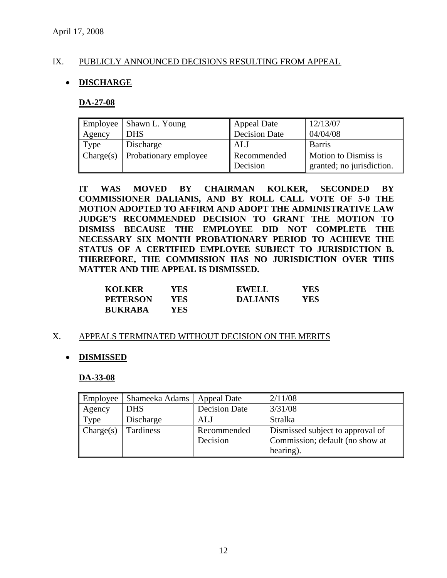# IX. PUBLICLY ANNOUNCED DECISIONS RESULTING FROM APPEAL

# • **DISCHARGE**

#### **DA-27-08**

| Employee  | Shawn L. Young        | <b>Appeal Date</b>      | 12/13/07                                          |
|-----------|-----------------------|-------------------------|---------------------------------------------------|
| Agency    | <b>DHS</b>            | <b>Decision Date</b>    | 04/04/08                                          |
| Type      | Discharge             | ALJ                     | <b>Barris</b>                                     |
| Change(s) | Probationary employee | Recommended<br>Decision | Motion to Dismiss is<br>granted; no jurisdiction. |

**IT WAS MOVED BY CHAIRMAN KOLKER, SECONDED BY COMMISSIONER DALIANIS, AND BY ROLL CALL VOTE OF 5-0 THE MOTION ADOPTED TO AFFIRM AND ADOPT THE ADMINISTRATIVE LAW JUDGE'S RECOMMENDED DECISION TO GRANT THE MOTION TO DISMISS BECAUSE THE EMPLOYEE DID NOT COMPLETE THE NECESSARY SIX MONTH PROBATIONARY PERIOD TO ACHIEVE THE STATUS OF A CERTIFIED EMPLOYEE SUBJECT TO JURISDICTION B. THEREFORE, THE COMMISSION HAS NO JURISDICTION OVER THIS MATTER AND THE APPEAL IS DISMISSED.** 

| <b>KOLKER</b>   | YES  | <b>EWELL</b>    | YES |
|-----------------|------|-----------------|-----|
| <b>PETERSON</b> | YES. | <b>DALIANIS</b> | YES |
| <b>BUKRABA</b>  | YES. |                 |     |

#### X. APPEALS TERMINATED WITHOUT DECISION ON THE MERITS

# • **DISMISSED**

# **DA-33-08**

| Employee  | Shameeka Adams | <b>Appeal Date</b>   | 2/11/08                          |
|-----------|----------------|----------------------|----------------------------------|
| Agency    | <b>DHS</b>     | <b>Decision Date</b> | 3/31/08                          |
| Type      | Discharge      | ALJ                  | <b>Stralka</b>                   |
| Change(s) | Tardiness      | Recommended          | Dismissed subject to approval of |
|           |                | Decision             | Commission; default (no show at  |
|           |                |                      | hearing).                        |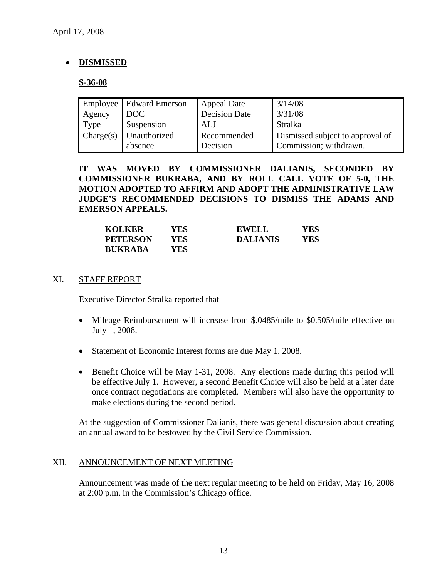# • **DISMISSED**

#### **S-36-08**

| Employee  | <b>Edward Emerson</b> | <b>Appeal Date</b>   | 3/14/08                          |
|-----------|-----------------------|----------------------|----------------------------------|
| Agency    | DOC                   | <b>Decision Date</b> | 3/31/08                          |
| Type      | Suspension            | ALJ                  | Stralka                          |
| Change(s) | Unauthorized          | Recommended          | Dismissed subject to approval of |
|           | absence               | Decision             | Commission; withdrawn.           |

**IT WAS MOVED BY COMMISSIONER DALIANIS, SECONDED BY COMMISSIONER BUKRABA, AND BY ROLL CALL VOTE OF 5-0, THE MOTION ADOPTED TO AFFIRM AND ADOPT THE ADMINISTRATIVE LAW JUDGE'S RECOMMENDED DECISIONS TO DISMISS THE ADAMS AND EMERSON APPEALS.** 

| <b>KOLKER</b>   | YES | EWELL           | YES |
|-----------------|-----|-----------------|-----|
| <b>PETERSON</b> | YES | <b>DALIANIS</b> | YES |
| <b>BUKRABA</b>  | YES |                 |     |

#### XI. STAFF REPORT

Executive Director Stralka reported that

- Mileage Reimbursement will increase from \$.0485/mile to \$0.505/mile effective on July 1, 2008.
- Statement of Economic Interest forms are due May 1, 2008.
- Benefit Choice will be May 1-31, 2008. Any elections made during this period will be effective July 1. However, a second Benefit Choice will also be held at a later date once contract negotiations are completed. Members will also have the opportunity to make elections during the second period.

At the suggestion of Commissioner Dalianis, there was general discussion about creating an annual award to be bestowed by the Civil Service Commission.

#### XII. ANNOUNCEMENT OF NEXT MEETING

Announcement was made of the next regular meeting to be held on Friday, May 16, 2008 at 2:00 p.m. in the Commission's Chicago office.